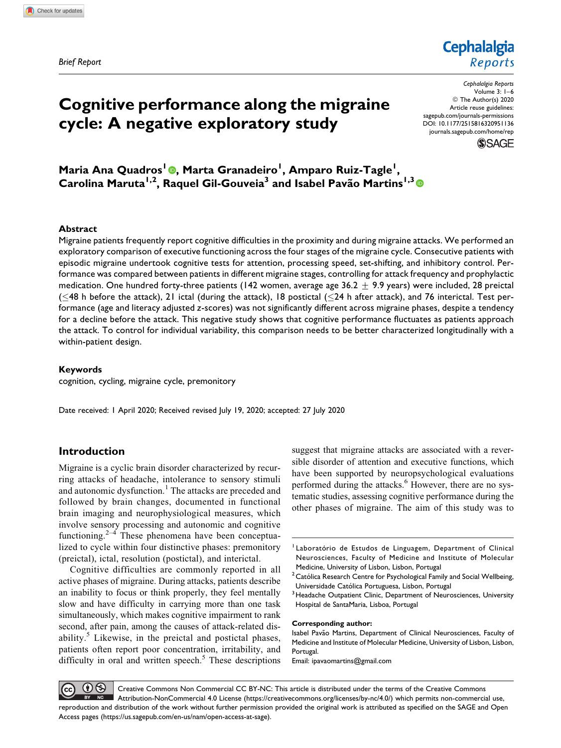Brief Report

# Cognitive performance along the migraine cycle: A negative exploratory study

Reports Cephalalgia Reports Volume 3: 1–6 © The Author(s) 2020 Article reuse guidelines: [sagepub.com/journals-permissions](https://sagepub.com/journals-permissions)

**Cephalalgia** 

[DOI: 10.1177/2515816320951136](https://doi.org/10.1177/2515816320951136) [journals.sagepub.com/home/rep](http://journals.sagepub.com/home/rep)

**SSAGE** 

Maria Ana Quadros<sup>I</sup> ©, Marta Granadeiro<sup>I</sup>, Amparo Ruiz-Tagle<sup>I</sup>, Carolina Maruta<sup>1,2</sup>, Raquel Gil-Gouveia<sup>3</sup> and Isabel Pavão Martins<sup>1,3</sup>

#### Abstract

Migraine patients frequently report cognitive difficulties in the proximity and during migraine attacks. We performed an exploratory comparison of executive functioning across the four stages of the migraine cycle. Consecutive patients with episodic migraine undertook cognitive tests for attention, processing speed, set-shifting, and inhibitory control. Performance was compared between patients in different migraine stages, controlling for attack frequency and prophylactic medication. One hundred forty-three patients (142 women, average age 36.2  $\pm$  9.9 years) were included, 28 preictal ( $\leq$ 48 h before the attack), 21 ictal (during the attack), 18 postictal ( $\leq$ 24 h after attack), and 76 interictal. Test performance (age and literacy adjusted z-scores) was not significantly different across migraine phases, despite a tendency for a decline before the attack. This negative study shows that cognitive performance fluctuates as patients approach the attack. To control for individual variability, this comparison needs to be better characterized longitudinally with a within-patient design.

## Keywords

cognition, cycling, migraine cycle, premonitory

Date received: 1 April 2020; Received revised July 19, 2020; accepted: 27 July 2020

# Introduction

Migraine is a cyclic brain disorder characterized by recurring attacks of headache, intolerance to sensory stimuli and autonomic dysfunction.<sup>1</sup> The attacks are preceded and followed by brain changes, documented in functional brain imaging and neurophysiological measures, which involve sensory processing and autonomic and cognitive functioning. $2^{-4}$  These phenomena have been conceptualized to cycle within four distinctive phases: premonitory (preictal), ictal, resolution (postictal), and interictal.

Cognitive difficulties are commonly reported in all active phases of migraine. During attacks, patients describe an inability to focus or think properly, they feel mentally slow and have difficulty in carrying more than one task simultaneously, which makes cognitive impairment to rank second, after pain, among the causes of attack-related disability. $\delta$  Likewise, in the preictal and postictal phases, patients often report poor concentration, irritability, and difficulty in oral and written speech. $<sup>5</sup>$  These descriptions</sup>

suggest that migraine attacks are associated with a reversible disorder of attention and executive functions, which have been supported by neuropsychological evaluations performed during the attacks.<sup>6</sup> However, there are no systematic studies, assessing cognitive performance during the other phases of migraine. The aim of this study was to

#### Corresponding author:

Isabel Pavão Martins, Department of Clinical Neurosciences, Faculty of Medicine and Institute of Molecular Medicine, University of Lisbon, Lisbon, Portugal.

Email: [ipavaomartins@gmail.com](mailto:ipavaomartins@gmail.com)

 $0$ Creative Commons Non Commercial CC BY-NC: This article is distributed under the terms of the Creative Commons Attribution-NonCommercial 4.0 License ([https://creativecommons.org/licenses/by-nc/4.0/\)](https://creativecommons.org/licenses/by-nc/4.0/) which permits non-commercial use, reproduction and distribution of the work without further permission provided the original work is attributed as specified on the SAGE and Open Access pages (<https://us.sagepub.com/en-us/nam/open-access-at-sage>).

<sup>&</sup>lt;sup>1</sup> Laboratório de Estudos de Linguagem, Department of Clinical Neurosciences, Faculty of Medicine and Institute of Molecular Medicine, University of Lisbon, Lisbon, Portugal

 $2$  Católica Research Centre for Psychological Family and Social Wellbeing, Universidade Católica Portuguesa, Lisbon, Portugal

<sup>&</sup>lt;sup>3</sup> Headache Outpatient Clinic, Department of Neurosciences, University Hospital de SantaMaria, Lisboa, Portugal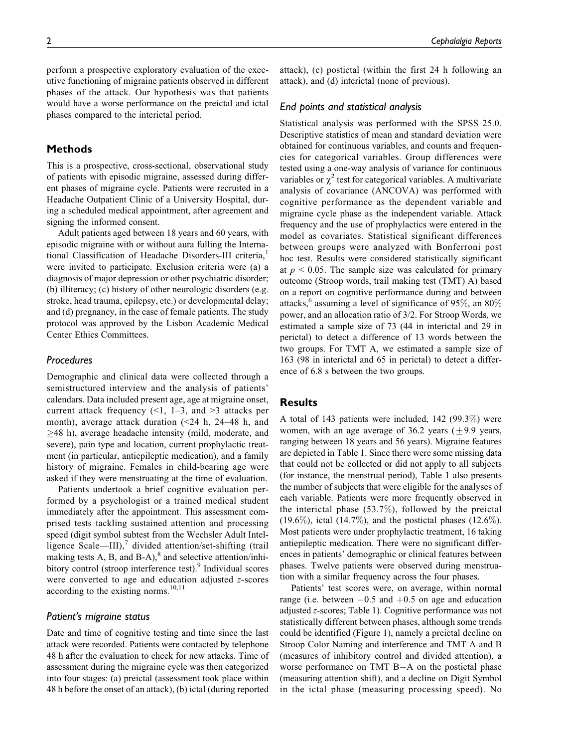perform a prospective exploratory evaluation of the executive functioning of migraine patients observed in different phases of the attack. Our hypothesis was that patients would have a worse performance on the preictal and ictal phases compared to the interictal period.

# Methods

This is a prospective, cross-sectional, observational study of patients with episodic migraine, assessed during different phases of migraine cycle. Patients were recruited in a Headache Outpatient Clinic of a University Hospital, during a scheduled medical appointment, after agreement and signing the informed consent.

Adult patients aged between 18 years and 60 years, with episodic migraine with or without aura fulling the International Classification of Headache Disorders-III criteria,<sup>1</sup> were invited to participate. Exclusion criteria were (a) a diagnosis of major depression or other psychiatric disorder; (b) illiteracy; (c) history of other neurologic disorders (e.g. stroke, head trauma, epilepsy, etc.) or developmental delay; and (d) pregnancy, in the case of female patients. The study protocol was approved by the Lisbon Academic Medical Center Ethics Committees.

# Procedures

Demographic and clinical data were collected through a semistructured interview and the analysis of patients' calendars. Data included present age, age at migraine onset, current attack frequency  $(1, 1-3,$  and  $\geq 3$  attacks per month), average attack duration  $\approx$  24 h, 24–48 h, and 48 h), average headache intensity (mild, moderate, and severe), pain type and location, current prophylactic treatment (in particular, antiepileptic medication), and a family history of migraine. Females in child-bearing age were asked if they were menstruating at the time of evaluation.

Patients undertook a brief cognitive evaluation performed by a psychologist or a trained medical student immediately after the appointment. This assessment comprised tests tackling sustained attention and processing speed (digit symbol subtest from the Wechsler Adult Intelligence Scale—III), $\frac{7}{7}$  divided attention/set-shifting (trail making tests A, B, and B-A), $^8$  and selective attention/inhibitory control (stroop interference test).<sup>9</sup> Individual scores were converted to age and education adjusted z-scores according to the existing norms.<sup>10,11</sup>

## Patient's migraine status

Date and time of cognitive testing and time since the last attack were recorded. Patients were contacted by telephone 48 h after the evaluation to check for new attacks. Time of assessment during the migraine cycle was then categorized into four stages: (a) preictal (assessment took place within 48 h before the onset of an attack), (b) ictal (during reported attack), (c) postictal (within the first 24 h following an attack), and (d) interictal (none of previous).

#### End points and statistical analysis

Statistical analysis was performed with the SPSS 25.0. Descriptive statistics of mean and standard deviation were obtained for continuous variables, and counts and frequencies for categorical variables. Group differences were tested using a one-way analysis of variance for continuous variables or  $\chi^2$  test for categorical variables. A multivariate analysis of covariance (ANCOVA) was performed with cognitive performance as the dependent variable and migraine cycle phase as the independent variable. Attack frequency and the use of prophylactics were entered in the model as covariates. Statistical significant differences between groups were analyzed with Bonferroni post hoc test. Results were considered statistically significant at  $p < 0.05$ . The sample size was calculated for primary outcome (Stroop words, trail making test (TMT) A) based on a report on cognitive performance during and between attacks,<sup>6</sup> assuming a level of significance of 95%, an 80% power, and an allocation ratio of 3/2. For Stroop Words, we estimated a sample size of 73 (44 in interictal and 29 in perictal) to detect a difference of 13 words between the two groups. For TMT A, we estimated a sample size of 163 (98 in interictal and 65 in perictal) to detect a difference of 6.8 s between the two groups.

## **Results**

A total of 143 patients were included, 142 (99.3%) were women, with an age average of  $36.2$  years ( $+9.9$  years, ranging between 18 years and 56 years). Migraine features are depicted in Table 1. Since there were some missing data that could not be collected or did not apply to all subjects (for instance, the menstrual period), Table 1 also presents the number of subjects that were eligible for the analyses of each variable. Patients were more frequently observed in the interictal phase (53.7%), followed by the preictal  $(19.6\%)$ , ictal  $(14.7\%)$ , and the postictal phases  $(12.6\%)$ . Most patients were under prophylactic treatment, 16 taking antiepileptic medication. There were no significant differences in patients' demographic or clinical features between phases. Twelve patients were observed during menstruation with a similar frequency across the four phases.

Patients' test scores were, on average, within normal range (i.e. between  $-0.5$  and  $+0.5$  on age and education adjusted z-scores; Table 1). Cognitive performance was not statistically different between phases, although some trends could be identified (Figure 1), namely a preictal decline on Stroop Color Naming and interference and TMT A and B (measures of inhibitory control and divided attention), a worse performance on TMT  $B-A$  on the postictal phase (measuring attention shift), and a decline on Digit Symbol in the ictal phase (measuring processing speed). No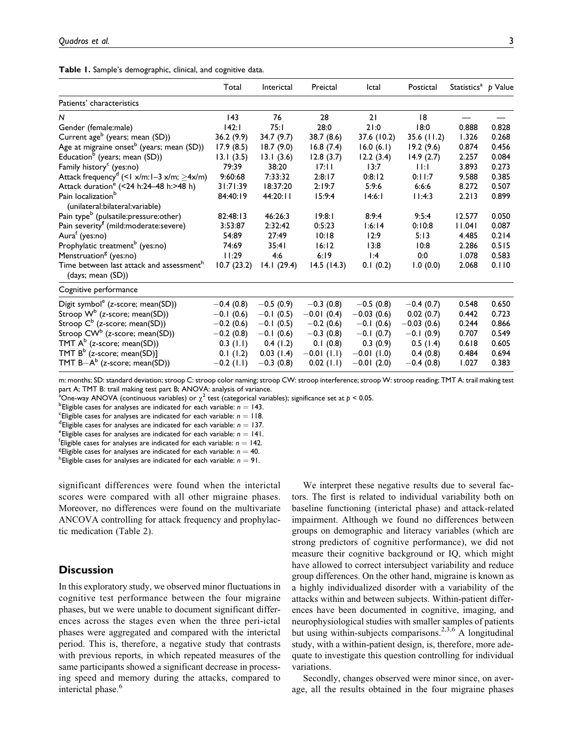|  |  | Table 1. Sample's demographic, clinical, and cognitive data. |  |  |  |  |
|--|--|--------------------------------------------------------------|--|--|--|--|
|--|--|--------------------------------------------------------------|--|--|--|--|

|                                                                           | Total        | Interictal  | Preictal      | Ictal        | Postictal    | Statistics <sup>a</sup> $p$ Value |       |
|---------------------------------------------------------------------------|--------------|-------------|---------------|--------------|--------------|-----------------------------------|-------|
| Patients' characteristics                                                 |              |             |               |              |              |                                   |       |
| N                                                                         | 143          | 76          | 28            | 21           | 8            |                                   |       |
| Gender (female:male)                                                      | 142:1        | 75:1        | 28:0          | 21:0         | 18:0         | 0.888                             | 0.828 |
| Current age <sup>b</sup> (years; mean (SD))                               | 36.2(9.9)    | 34.7 (9.7)  | 38.7 (8.6)    | 37.6 (10.2)  | 35.6 (11.2)  | 1.326                             | 0.268 |
| Age at migraine onset <sup>b</sup> (years; mean (SD))                     | 17.9(8.5)    | 18.7(9.0)   | 16.8(7.4)     | 16.0(6.1)    | 19.2(9.6)    | 0.874                             | 0.456 |
| Education <sup>b</sup> (years; mean (SD))                                 | 13.1(3.5)    | 13.1(3.6)   | 12.8(3.7)     | 12.2(3.4)    | 14.9(2.7)    | 2.257                             | 0.084 |
| Family history <sup>c</sup> (yes:no)                                      | 79:39        | 38:20       | 17:11         | 13:7         | $  \cdot  $  | 3.893                             | 0.273 |
| Attack frequency <sup>d</sup> (<1 x/m:1-3 x/m; $\geq$ 4x/m)               | 9:60:68      | 7:33:32     | 2:8:17        | 0:8:12       | 0:11:7       | 9.588                             | 0.385 |
| Attack duration <sup>e</sup> (<24 h:24-48 h:>48 h)                        | 31:71:39     | 18:37:20    | 2:19:7        | 5:9:6        | 6:6:6        | 8.272                             | 0.507 |
| Pain localization <sup>b</sup><br>(unilateral:bilateral:variable)         | 84:40:19     | 44:20:11    | 15:9:4        | 14:6:1       | 11:4:3       | 2.213                             | 0.899 |
| Pain type <sup>b</sup> (pulsatile:pressure:other)                         | 82:48:13     | 46:26:3     | 19:8:1        | 8:9:4        | 9:5:4        | 12.577                            | 0.050 |
| Pain severity <sup>f</sup> (mild:moderate:severe)                         | 3:53:87      | 2:32:42     | 0:5:23        | 1:6:14       | 0:10:8       | 11.041                            | 0.087 |
| Aura <sup>f</sup> (yes:no)                                                | 54:89        | 27:49       | 10:18         | 12:9         | 5:13         | 4.485                             | 0.214 |
| Prophylatic treatment <sup>b</sup> (yes:no)                               | 74:69        | 35:41       | 16:12         | 13:8         | 10:8         | 2.286                             | 0.515 |
| Menstruation <sup>g</sup> (yes:no)                                        | 11:29        | 4:6         | 6:19          | 1:4          | 0:0          | 1.078                             | 0.583 |
| Time between last attack and assessment <sup>h</sup><br>(days; mean (SD)) | 10.7(23.2)   | 14.1(29.4)  | 14.5(14.3)    | 0.1(0.2)     | 1.0(0.0)     | 2.068                             | 0.110 |
| Cognitive performance                                                     |              |             |               |              |              |                                   |       |
| Digit symbol <sup>e</sup> (z-score; mean(SD))                             | $-0.4(0.8)$  | $-0.5(0.9)$ | $-0.3(0.8)$   | $-0.5(0.8)$  | $-0.4(0.7)$  | 0.548                             | 0.650 |
| Stroop $W^b$ (z-score; mean(SD))                                          | $-0.1(0.6)$  | $-0.1(0.5)$ | $-0.01(0.4)$  | $-0.03(0.6)$ | 0.02(0.7)    | 0.442                             | 0.723 |
| Stroop $C^b$ (z-score; mean(SD))                                          | $-0.2(0.6)$  | $-0.1(0.5)$ | $-0.2(0.6)$   | $-0.1(0.6)$  | $-0.03(0.6)$ | 0.244                             | 0.866 |
| Stroop CW <sup>b</sup> (z-score; mean(SD))                                | $-0.2(0.8)$  | $-0.1(0.6)$ | $-0.3(0.8)$   | $-0.1(0.7)$  | $-0.1(0.9)$  | 0.707                             | 0.549 |
| TMT $A^b$ (z-score; mean(SD))                                             | $0.3$ (1.1)  | 0.4(1.2)    | 0.1(0.8)      | 0.3(0.9)     | 0.5(1.4)     | 0.618                             | 0.605 |
| TMT $B^b$ (z-score; mean(SD)]                                             | 0.1(1.2)     | 0.03(1.4)   | $-0.01$ (1.1) | $-0.01(1.0)$ | 0.4(0.8)     | 0.484                             | 0.694 |
| TMT $B-A^b$ (z-score; mean(SD))                                           | $-0.2$ (1.1) | $-0.3(0.8)$ | $0.02$ (1.1)  | $-0.01(2.0)$ | $-0.4(0.8)$  | 1.027                             | 0.383 |

m: months; SD: standard deviation; stroop C: stroop color naming; stroop CW: stroop interference; stroop W: stroop reading; TMT A: trail making test part A; TMT B: trail making test part B; ANOVA: analysis of variance.

<sup>a</sup>One-way ANOVA (continuous variables) or  $\chi^2$  test (categorical variables); significance set at  $p < 0.05$ .<br><sup>b</sup>Eligible cases for analyses are indicated for each variable: n – 143

<sup>b</sup>Eligible cases for analyses are indicated for each variable:  $n = 143$ .

<sup>c</sup>Eligible cases for analyses are indicated for each variable:  $n = 118$ .

<sup>d</sup> Eligible cases for analyses are indicated for each variable:  $n = 137$ .

<sup>e</sup> Eligible cases for analyses are indicated for each variable:  $n = 141$ .

<sup>f</sup> Eligible cases for analyses are indicated for each variable:  $n = 142$ .

<sup>g</sup> Eligible cases for analyses are indicated for each variable:  $n = 40$ .

<sup>h</sup>Eligible cases for analyses are indicated for each variable:  $n = 91$ .

significant differences were found when the interictal scores were compared with all other migraine phases. Moreover, no differences were found on the multivariate ANCOVA controlling for attack frequency and prophylactic medication (Table 2).

# **Discussion**

In this exploratory study, we observed minor fluctuations in cognitive test performance between the four migraine phases, but we were unable to document significant differences across the stages even when the three peri-ictal phases were aggregated and compared with the interictal period. This is, therefore, a negative study that contrasts with previous reports, in which repeated measures of the same participants showed a significant decrease in processing speed and memory during the attacks, compared to interictal phase.<sup>6</sup>

We interpret these negative results due to several factors. The first is related to individual variability both on baseline functioning (interictal phase) and attack-related impairment. Although we found no differences between groups on demographic and literacy variables (which are strong predictors of cognitive performance), we did not measure their cognitive background or IQ, which might have allowed to correct intersubject variability and reduce group differences. On the other hand, migraine is known as a highly individualized disorder with a variability of the attacks within and between subjects. Within-patient differences have been documented in cognitive, imaging, and neurophysiological studies with smaller samples of patients but using within-subjects comparisons.<sup>2,3,6</sup> A longitudinal study, with a within-patient design, is, therefore, more adequate to investigate this question controlling for individual variations.

Secondly, changes observed were minor since, on average, all the results obtained in the four migraine phases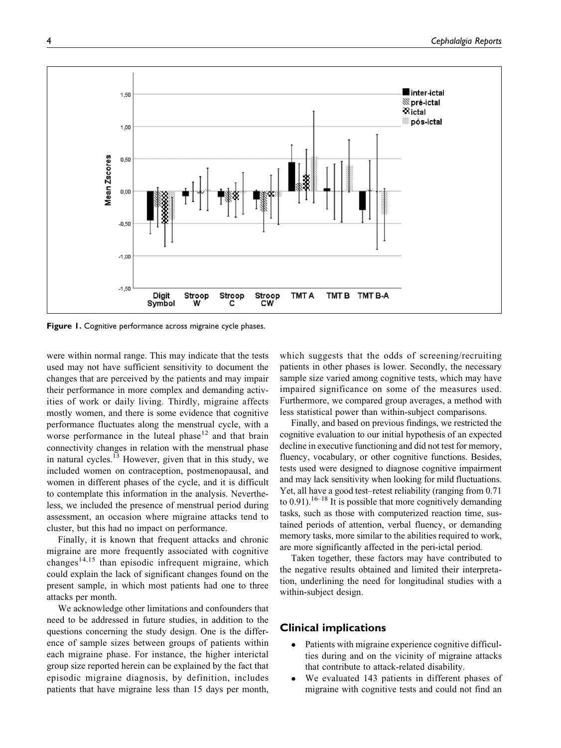

Figure 1. Cognitive performance across migraine cycle phases.

were within normal range. This may indicate that the tests used may not have sufficient sensitivity to document the changes that are perceived by the patients and may impair their performance in more complex and demanding activities of work or daily living. Thirdly, migraine affects mostly women, and there is some evidence that cognitive performance fluctuates along the menstrual cycle, with a worse performance in the luteal phase $12$  and that brain connectivity changes in relation with the menstrual phase in natural cycles.<sup>13</sup> However, given that in this study, we included women on contraception, postmenopausal, and women in different phases of the cycle, and it is difficult to contemplate this information in the analysis. Nevertheless, we included the presence of menstrual period during assessment, an occasion where migraine attacks tend to cluster, but this had no impact on performance.

Finally, it is known that frequent attacks and chronic migraine are more frequently associated with cognitive changes<sup>14,15</sup> than episodic infrequent migraine, which could explain the lack of significant changes found on the present sample, in which most patients had one to three attacks per month.

We acknowledge other limitations and confounders that need to be addressed in future studies, in addition to the questions concerning the study design. One is the difference of sample sizes between groups of patients within each migraine phase. For instance, the higher interictal group size reported herein can be explained by the fact that episodic migraine diagnosis, by definition, includes patients that have migraine less than 15 days per month, which suggests that the odds of screening/recruiting patients in other phases is lower. Secondly, the necessary sample size varied among cognitive tests, which may have impaired significance on some of the measures used. Furthermore, we compared group averages, a method with less statistical power than within-subject comparisons.

Finally, and based on previous findings, we restricted the cognitive evaluation to our initial hypothesis of an expected decline in executive functioning and did not test for memory, fluency, vocabulary, or other cognitive functions. Besides, tests used were designed to diagnose cognitive impairment and may lack sensitivity when looking for mild fluctuations. Yet, all have a good test–retest reliability (ranging from 0.71 to 0.91).<sup>16–18</sup> It is possible that more cognitively demanding tasks, such as those with computerized reaction time, sustained periods of attention, verbal fluency, or demanding memory tasks, more similar to the abilities required to work, are more significantly affected in the peri-ictal period.

Taken together, these factors may have contributed to the negative results obtained and limited their interpretation, underlining the need for longitudinal studies with a within-subject design.

# Clinical implications

- Patients with migraine experience cognitive difficulties during and on the vicinity of migraine attacks that contribute to attack-related disability.
- We evaluated 143 patients in different phases of migraine with cognitive tests and could not find an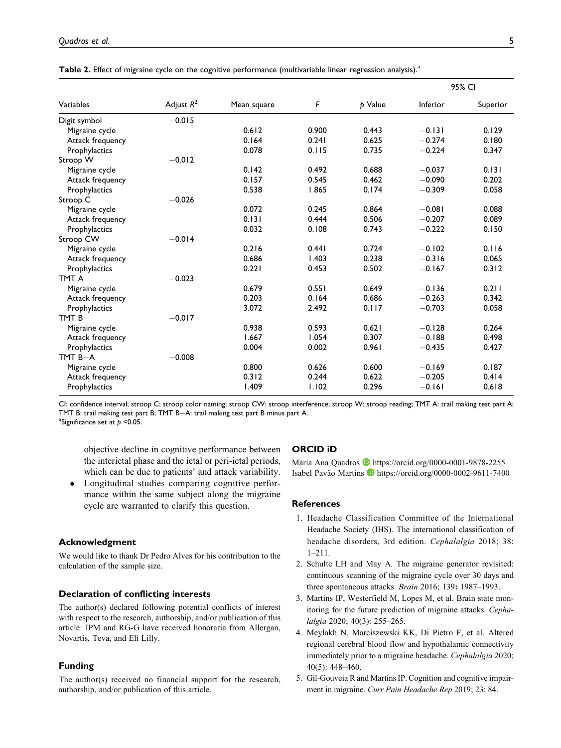|                  | Adjust $R^2$ | Mean square | F     | p Value | 95% CI   |          |
|------------------|--------------|-------------|-------|---------|----------|----------|
| Variables        |              |             |       |         | Inferior | Superior |
| Digit symbol     | $-0.015$     |             |       |         |          |          |
| Migraine cycle   |              | 0.612       | 0.900 | 0.443   | $-0.131$ | 0.129    |
| Attack frequency |              | 0.164       | 0.241 | 0.625   | $-0.274$ | 0.180    |
| Prophylactics    |              | 0.078       | 0.115 | 0.735   | $-0.224$ | 0.347    |
| Stroop W         | $-0.012$     |             |       |         |          |          |
| Migraine cycle   |              | 0.142       | 0.492 | 0.688   | $-0.037$ | 0.131    |
| Attack frequency |              | 0.157       | 0.545 | 0.462   | $-0.090$ | 0.202    |
| Prophylactics    |              | 0.538       | 1.865 | 0.174   | $-0.309$ | 0.058    |
| Stroop C         | $-0.026$     |             |       |         |          |          |
| Migraine cycle   |              | 0.072       | 0.245 | 0.864   | $-0.081$ | 0.088    |
| Attack frequency |              | 0.131       | 0.444 | 0.506   | $-0.207$ | 0.089    |
| Prophylactics    |              | 0.032       | 0.108 | 0.743   | $-0.222$ | 0.150    |
| Stroop CW        | $-0.014$     |             |       |         |          |          |
| Migraine cycle   |              | 0.216       | 0.441 | 0.724   | $-0.102$ | 0.116    |
| Attack frequency |              | 0.686       | 1.403 | 0.238   | $-0.316$ | 0.065    |
| Prophylactics    |              | 0.221       | 0.453 | 0.502   | $-0.167$ | 0.312    |
| TMT A            | $-0.023$     |             |       |         |          |          |
| Migraine cycle   |              | 0.679       | 0.551 | 0.649   | $-0.136$ | 0.211    |
| Attack frequency |              | 0.203       | 0.164 | 0.686   | $-0.263$ | 0.342    |
| Prophylactics    |              | 3.072       | 2.492 | 0.117   | $-0.703$ | 0.058    |
| TMT <sub>B</sub> | $-0.017$     |             |       |         |          |          |
| Migraine cycle   |              | 0.938       | 0.593 | 0.621   | $-0.128$ | 0.264    |
| Attack frequency |              | 1.667       | 1.054 | 0.307   | $-0.188$ | 0.498    |
| Prophylactics    |              | 0.004       | 0.002 | 0.961   | $-0.435$ | 0.427    |
| $TMTB - A$       | $-0.008$     |             |       |         |          |          |
| Migraine cycle   |              | 0.800       | 0.626 | 0.600   | $-0.169$ | 0.187    |
| Attack frequency |              | 0.312       | 0.244 | 0.622   | $-0.205$ | 0.414    |
| Prophylactics    |              | 1.409       | 1.102 | 0.296   | $-0.161$ | 0.618    |

| Table 2. Effect of migraine cycle on the cognitive performance (multivariable linear regression analysis). <sup>3</sup> |  |  |  |
|-------------------------------------------------------------------------------------------------------------------------|--|--|--|
|-------------------------------------------------------------------------------------------------------------------------|--|--|--|

CI: confidence interval; stroop C: stroop color naming; stroop CW: stroop interference; stroop W: stroop reading; TMT A: trail making test part A; TMT B: trail making test part B; TMT B-A: trail making test part B minus part A. <sup>a</sup>Significance set at  $p$  <0.05.

objective decline in cognitive performance between the interictal phase and the ictal or peri-ictal periods, which can be due to patients' and attack variability.

 Longitudinal studies comparing cognitive performance within the same subject along the migraine cycle are warranted to clarify this question.

#### Acknowledgment

We would like to thank Dr Pedro Alves for his contribution to the calculation of the sample size.

## Declaration of conflicting interests

The author(s) declared following potential conflicts of interest with respect to the research, authorship, and/or publication of this article: IPM and RG-G have received honoraria from Allergan, Novartis, Teva, and Eli Lilly.

#### Funding

The author(s) received no financial support for the research, authorship, and/or publication of this article.

# ORCID iD

Maria Ana Quadros <https://orcid.org/0000-0001-9878-2255> Isabel Pavão Martins D <https://orcid.org/0000-0002-9611-7400>

#### **References**

- 1. Headache Classification Committee of the International Headache Society (IHS). The international classification of headache disorders, 3rd edition. Cephalalgia 2018; 38: 1–211.
- 2. Schulte LH and May A. The migraine generator revisited: continuous scanning of the migraine cycle over 30 days and three spontaneous attacks. Brain 2016; 139: 1987–1993.
- 3. Martins IP, Westerfield M, Lopes M, et al. Brain state monitoring for the future prediction of migraine attacks. Cephalalgia 2020; 40(3): 255–265.
- 4. Meylakh N, Marciszewski KK, Di Pietro F, et al. Altered regional cerebral blood flow and hypothalamic connectivity immediately prior to a migraine headache. Cephalalgia 2020; 40(5): 448–460.
- 5. Gil-Gouveia R and Martins IP. Cognition and cognitive impairment in migraine. Curr Pain Headache Rep 2019; 23: 84.